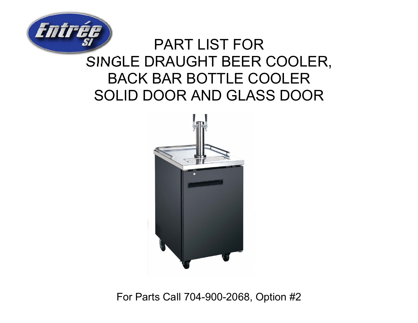

## PART LIST FORSINGLE DRAUGHT BEER COOLER, BACK BAR BOTTLE COOLER SOLID DOOR AND GLASS DOOR



For Parts Call 704-900-2068, Option #2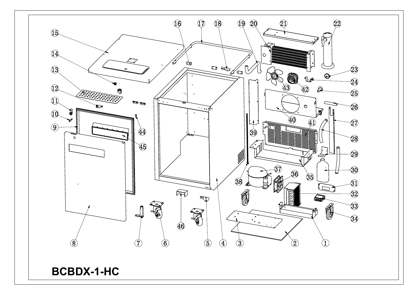